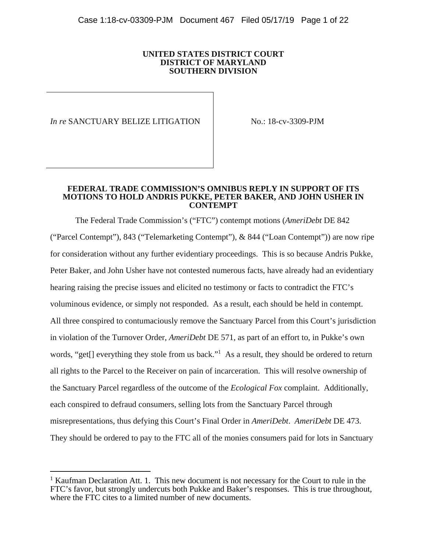### **UNITED STATES DISTRICT COURT DISTRICT OF MARYLAND SOUTHERN DIVISION**

*In re* SANCTUARY BELIZE LITIGATION No.: 18-cv-3309-PJM

 $\overline{a}$ 

### **FEDERAL TRADE COMMISSION'S OMNIBUS REPLY IN SUPPORT OF ITS MOTIONS TO HOLD ANDRIS PUKKE, PETER BAKER, AND JOHN USHER IN CONTEMPT**

 The Federal Trade Commission's ("FTC") contempt motions (*AmeriDebt* DE 842 ("Parcel Contempt"), 843 ("Telemarketing Contempt"), & 844 ("Loan Contempt")) are now ripe for consideration without any further evidentiary proceedings. This is so because Andris Pukke, Peter Baker, and John Usher have not contested numerous facts, have already had an evidentiary hearing raising the precise issues and elicited no testimony or facts to contradict the FTC's voluminous evidence, or simply not responded. As a result, each should be held in contempt. All three conspired to contumaciously remove the Sanctuary Parcel from this Court's jurisdiction in violation of the Turnover Order, *AmeriDebt* DE 571, as part of an effort to, in Pukke's own words, "get[] everything they stole from us back."<sup>1</sup> As a result, they should be ordered to return all rights to the Parcel to the Receiver on pain of incarceration. This will resolve ownership of the Sanctuary Parcel regardless of the outcome of the *Ecological Fox* complaint. Additionally, each conspired to defraud consumers, selling lots from the Sanctuary Parcel through misrepresentations, thus defying this Court's Final Order in *AmeriDebt*. *AmeriDebt* DE 473. They should be ordered to pay to the FTC all of the monies consumers paid for lots in Sanctuary

<sup>&</sup>lt;sup>1</sup> Kaufman Declaration Att. 1. This new document is not necessary for the Court to rule in the FTC's favor, but strongly undercuts both Pukke and Baker's responses. This is true throughout, where the FTC cites to a limited number of new documents.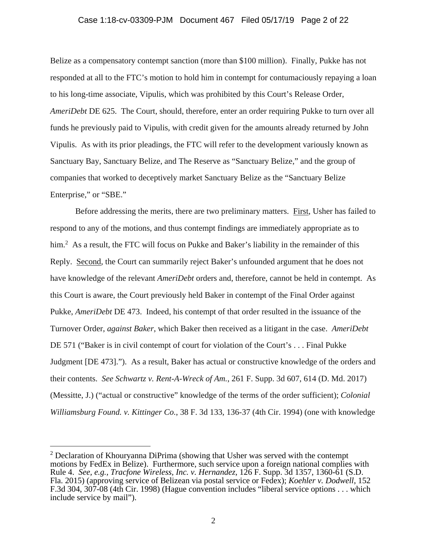# Case 1:18-cv-03309-PJM Document 467 Filed 05/17/19 Page 2 of 22

Belize as a compensatory contempt sanction (more than \$100 million). Finally, Pukke has not responded at all to the FTC's motion to hold him in contempt for contumaciously repaying a loan to his long-time associate, Vipulis, which was prohibited by this Court's Release Order, *AmeriDebt* DE 625. The Court, should, therefore, enter an order requiring Pukke to turn over all funds he previously paid to Vipulis, with credit given for the amounts already returned by John Vipulis. As with its prior pleadings, the FTC will refer to the development variously known as Sanctuary Bay, Sanctuary Belize, and The Reserve as "Sanctuary Belize," and the group of companies that worked to deceptively market Sanctuary Belize as the "Sanctuary Belize Enterprise," or "SBE."

 Before addressing the merits, there are two preliminary matters. First, Usher has failed to respond to any of the motions, and thus contempt findings are immediately appropriate as to him.<sup>2</sup> As a result, the FTC will focus on Pukke and Baker's liability in the remainder of this Reply. Second, the Court can summarily reject Baker's unfounded argument that he does not have knowledge of the relevant *AmeriDebt* orders and, therefore, cannot be held in contempt. As this Court is aware, the Court previously held Baker in contempt of the Final Order against Pukke, *AmeriDebt* DE 473. Indeed, his contempt of that order resulted in the issuance of the Turnover Order, *against Baker*, which Baker then received as a litigant in the case. *AmeriDebt* DE 571 ("Baker is in civil contempt of court for violation of the Court's ... Final Pukke Judgment [DE 473]."). As a result, Baker has actual or constructive knowledge of the orders and their contents. *See Schwartz v. Rent-A-Wreck of Am.*, 261 F. Supp. 3d 607, 614 (D. Md. 2017) (Messitte, J.) ("actual or constructive" knowledge of the terms of the order sufficient); *Colonial Williamsburg Found. v. Kittinger Co.*, 38 F. 3d 133, 136-37 (4th Cir. 1994) (one with knowledge

 $2$  Declaration of Khouryanna DiPrima (showing that Usher was served with the contempt motions by FedEx in Belize). Furthermore, such service upon a foreign national complies with Rule 4. *See, e.g., Tracfone Wireless, Inc. v. Hernandez*, 126 F. Supp. 3d 1357, 1360-61 (S.D. Fla. 2015) (approving service of Belizean via postal service or Fedex); *Koehler v. Dodwell*, 152 F.3d 304, 307-08 (4th Cir. 1998) (Hague convention includes "liberal service options . . . which include service by mail").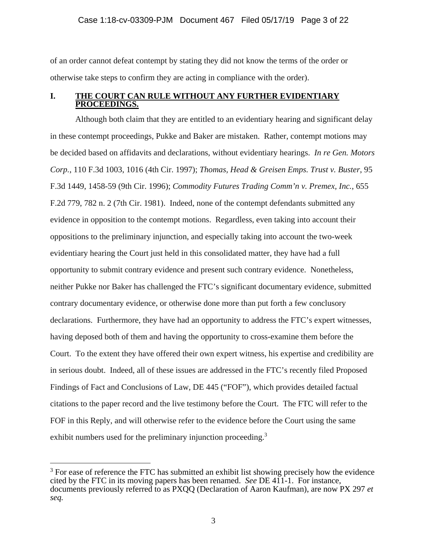of an order cannot defeat contempt by stating they did not know the terms of the order or otherwise take steps to confirm they are acting in compliance with the order).

# **I. THE COURT CAN RULE WITHOUT ANY FURTHER EVIDENTIARY PROCEEDINGS.**

 Although both claim that they are entitled to an evidentiary hearing and significant delay in these contempt proceedings, Pukke and Baker are mistaken. Rather, contempt motions may be decided based on affidavits and declarations, without evidentiary hearings. *In re Gen. Motors Corp.*, 110 F.3d 1003, 1016 (4th Cir. 1997); *Thomas, Head & Greisen Emps. Trust v. Buster*, 95 F.3d 1449, 1458-59 (9th Cir. 1996); *Commodity Futures Trading Comm'n v. Premex, Inc.*, 655 F.2d 779, 782 n. 2 (7th Cir. 1981). Indeed, none of the contempt defendants submitted any evidence in opposition to the contempt motions. Regardless, even taking into account their oppositions to the preliminary injunction, and especially taking into account the two-week evidentiary hearing the Court just held in this consolidated matter, they have had a full opportunity to submit contrary evidence and present such contrary evidence. Nonetheless, neither Pukke nor Baker has challenged the FTC's significant documentary evidence, submitted contrary documentary evidence, or otherwise done more than put forth a few conclusory declarations. Furthermore, they have had an opportunity to address the FTC's expert witnesses, having deposed both of them and having the opportunity to cross-examine them before the Court. To the extent they have offered their own expert witness, his expertise and credibility are in serious doubt. Indeed, all of these issues are addressed in the FTC's recently filed Proposed Findings of Fact and Conclusions of Law, DE 445 ("FOF"), which provides detailed factual citations to the paper record and the live testimony before the Court. The FTC will refer to the FOF in this Reply, and will otherwise refer to the evidence before the Court using the same exhibit numbers used for the preliminary injunction proceeding.<sup>3</sup>

 $3$  For ease of reference the FTC has submitted an exhibit list showing precisely how the evidence cited by the FTC in its moving papers has been renamed. *See* DE 411-1. For instance, documents previously referred to as PXQQ (Declaration of Aaron Kaufman), are now PX 297 *et seq.*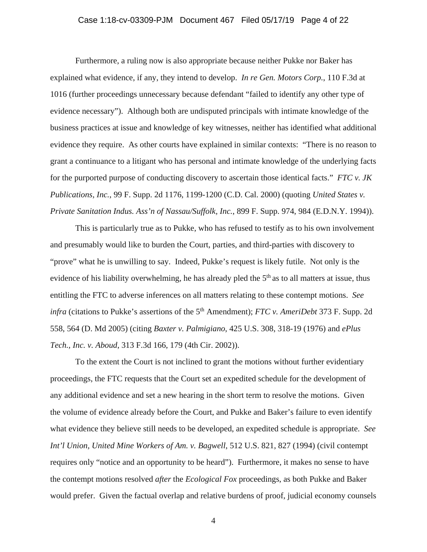# Case 1:18-cv-03309-PJM Document 467 Filed 05/17/19 Page 4 of 22

 Furthermore, a ruling now is also appropriate because neither Pukke nor Baker has explained what evidence, if any, they intend to develop. *In re Gen. Motors Corp.*, 110 F.3d at 1016 (further proceedings unnecessary because defendant "failed to identify any other type of evidence necessary"). Although both are undisputed principals with intimate knowledge of the business practices at issue and knowledge of key witnesses, neither has identified what additional evidence they require. As other courts have explained in similar contexts: "There is no reason to grant a continuance to a litigant who has personal and intimate knowledge of the underlying facts for the purported purpose of conducting discovery to ascertain those identical facts." *FTC v. JK Publications, Inc.*, 99 F. Supp. 2d 1176, 1199-1200 (C.D. Cal. 2000) (quoting *United States v. Private Sanitation Indus. Ass'n of Nassau/Suffolk, Inc.*, 899 F. Supp. 974, 984 (E.D.N.Y. 1994)).

 This is particularly true as to Pukke, who has refused to testify as to his own involvement and presumably would like to burden the Court, parties, and third-parties with discovery to "prove" what he is unwilling to say. Indeed, Pukke's request is likely futile. Not only is the evidence of his liability overwhelming, he has already pled the  $5<sup>th</sup>$  as to all matters at issue, thus entitling the FTC to adverse inferences on all matters relating to these contempt motions. *See infra* (citations to Pukke's assertions of the 5<sup>th</sup> Amendment); *FTC v. AmeriDebt* 373 F. Supp. 2d 558, 564 (D. Md 2005) (citing *Baxter v. Palmigiano*, 425 U.S. 308, 318-19 (1976) and *ePlus Tech., Inc. v. Aboud*, 313 F.3d 166, 179 (4th Cir. 2002)).

 To the extent the Court is not inclined to grant the motions without further evidentiary proceedings, the FTC requests that the Court set an expedited schedule for the development of any additional evidence and set a new hearing in the short term to resolve the motions. Given the volume of evidence already before the Court, and Pukke and Baker's failure to even identify what evidence they believe still needs to be developed, an expedited schedule is appropriate. *See Int'l Union, United Mine Workers of Am. v. Bagwell*, 512 U.S. 821, 827 (1994) (civil contempt requires only "notice and an opportunity to be heard"). Furthermore, it makes no sense to have the contempt motions resolved *after* the *Ecological Fox* proceedings, as both Pukke and Baker would prefer. Given the factual overlap and relative burdens of proof, judicial economy counsels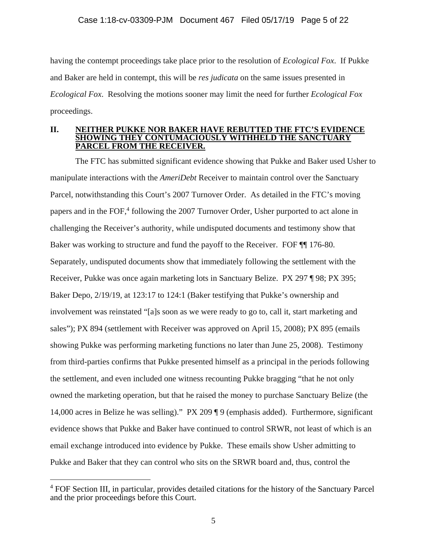having the contempt proceedings take place prior to the resolution of *Ecological Fox*. If Pukke and Baker are held in contempt, this will be *res judicata* on the same issues presented in *Ecological Fox*. Resolving the motions sooner may limit the need for further *Ecological Fox* proceedings.

### **II. NEITHER PUKKE NOR BAKER HAVE REBUTTED THE FTC'S EVIDENCE SHOWING THEY CONTUMACIOUSLY WITHHELD THE SANCTUARY PARCEL FROM THE RECEIVER.**

 The FTC has submitted significant evidence showing that Pukke and Baker used Usher to manipulate interactions with the *AmeriDebt* Receiver to maintain control over the Sanctuary Parcel, notwithstanding this Court's 2007 Turnover Order. As detailed in the FTC's moving papers and in the FOF,<sup>4</sup> following the 2007 Turnover Order, Usher purported to act alone in challenging the Receiver's authority, while undisputed documents and testimony show that Baker was working to structure and fund the payoff to the Receiver. FOF ¶¶ 176-80. Separately, undisputed documents show that immediately following the settlement with the Receiver, Pukke was once again marketing lots in Sanctuary Belize. PX 297 ¶ 98; PX 395; Baker Depo, 2/19/19, at 123:17 to 124:1 (Baker testifying that Pukke's ownership and involvement was reinstated "[a]s soon as we were ready to go to, call it, start marketing and sales"); PX 894 (settlement with Receiver was approved on April 15, 2008); PX 895 (emails showing Pukke was performing marketing functions no later than June 25, 2008). Testimony from third-parties confirms that Pukke presented himself as a principal in the periods following the settlement, and even included one witness recounting Pukke bragging "that he not only owned the marketing operation, but that he raised the money to purchase Sanctuary Belize (the 14,000 acres in Belize he was selling)." PX 209 ¶ 9 (emphasis added). Furthermore, significant evidence shows that Pukke and Baker have continued to control SRWR, not least of which is an email exchange introduced into evidence by Pukke. These emails show Usher admitting to Pukke and Baker that they can control who sits on the SRWR board and, thus, control the

<sup>&</sup>lt;sup>4</sup> FOF Section III, in particular, provides detailed citations for the history of the Sanctuary Parcel and the prior proceedings before this Court.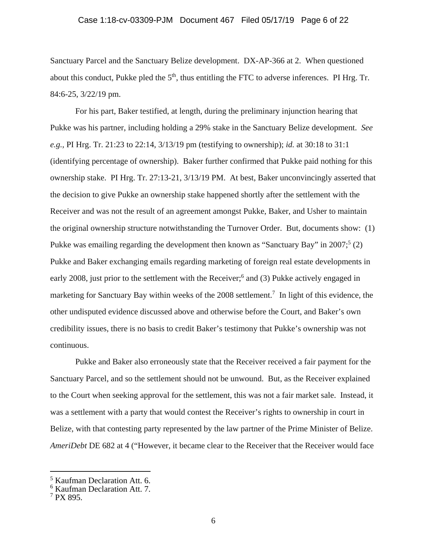Sanctuary Parcel and the Sanctuary Belize development. DX-AP-366 at 2. When questioned about this conduct, Pukke pled the  $5<sup>th</sup>$ , thus entitling the FTC to adverse inferences. PI Hrg. Tr. 84:6-25, 3/22/19 pm.

 For his part, Baker testified, at length, during the preliminary injunction hearing that Pukke was his partner, including holding a 29% stake in the Sanctuary Belize development. *See e.g.,* PI Hrg. Tr. 21:23 to 22:14, 3/13/19 pm (testifying to ownership); *id.* at 30:18 to 31:1 (identifying percentage of ownership).Baker further confirmed that Pukke paid nothing for this ownership stake. PI Hrg. Tr. 27:13-21, 3/13/19 PM. At best, Baker unconvincingly asserted that the decision to give Pukke an ownership stake happened shortly after the settlement with the Receiver and was not the result of an agreement amongst Pukke, Baker, and Usher to maintain the original ownership structure notwithstanding the Turnover Order. But, documents show: (1) Pukke was emailing regarding the development then known as "Sanctuary Bay" in 2007;<sup>5</sup> (2) Pukke and Baker exchanging emails regarding marketing of foreign real estate developments in early 2008, just prior to the settlement with the Receiver;<sup>6</sup> and (3) Pukke actively engaged in marketing for Sanctuary Bay within weeks of the  $2008$  settlement.<sup>7</sup> In light of this evidence, the other undisputed evidence discussed above and otherwise before the Court, and Baker's own credibility issues, there is no basis to credit Baker's testimony that Pukke's ownership was not continuous.

 Pukke and Baker also erroneously state that the Receiver received a fair payment for the Sanctuary Parcel, and so the settlement should not be unwound. But, as the Receiver explained to the Court when seeking approval for the settlement, this was not a fair market sale. Instead, it was a settlement with a party that would contest the Receiver's rights to ownership in court in Belize, with that contesting party represented by the law partner of the Prime Minister of Belize. *AmeriDebt* DE 682 at 4 ("However, it became clear to the Receiver that the Receiver would face

<sup>5</sup> Kaufman Declaration Att. 6.

<sup>6</sup> Kaufman Declaration Att. 7.

<sup>7</sup> PX 895.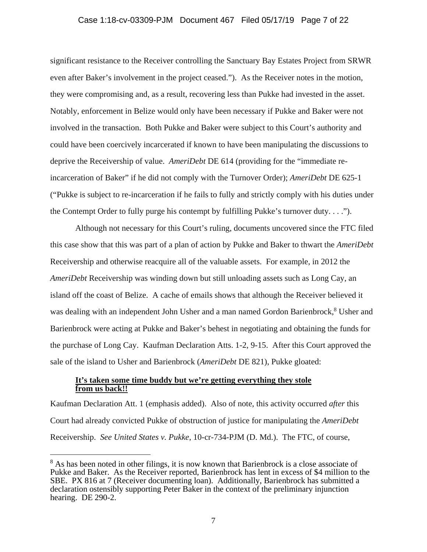significant resistance to the Receiver controlling the Sanctuary Bay Estates Project from SRWR even after Baker's involvement in the project ceased."). As the Receiver notes in the motion, they were compromising and, as a result, recovering less than Pukke had invested in the asset. Notably, enforcement in Belize would only have been necessary if Pukke and Baker were not involved in the transaction. Both Pukke and Baker were subject to this Court's authority and could have been coercively incarcerated if known to have been manipulating the discussions to deprive the Receivership of value. *AmeriDebt* DE 614 (providing for the "immediate reincarceration of Baker" if he did not comply with the Turnover Order); *AmeriDebt* DE 625-1 ("Pukke is subject to re-incarceration if he fails to fully and strictly comply with his duties under the Contempt Order to fully purge his contempt by fulfilling Pukke's turnover duty. . . .").

 Although not necessary for this Court's ruling, documents uncovered since the FTC filed this case show that this was part of a plan of action by Pukke and Baker to thwart the *AmeriDebt* Receivership and otherwise reacquire all of the valuable assets. For example, in 2012 the *AmeriDebt* Receivership was winding down but still unloading assets such as Long Cay, an island off the coast of Belize. A cache of emails shows that although the Receiver believed it was dealing with an independent John Usher and a man named Gordon Barienbrock,<sup>8</sup> Usher and Barienbrock were acting at Pukke and Baker's behest in negotiating and obtaining the funds for the purchase of Long Cay. Kaufman Declaration Atts. 1-2, 9-15. After this Court approved the sale of the island to Usher and Barienbrock (*AmeriDebt* DE 821), Pukke gloated:

# **It's taken some time buddy but we're getting everything they stole from us back!!**

 $\overline{a}$ 

Kaufman Declaration Att. 1 (emphasis added). Also of note, this activity occurred *after* this Court had already convicted Pukke of obstruction of justice for manipulating the *AmeriDebt* Receivership. *See United States v. Pukke*, 10-cr-734-PJM (D. Md.). The FTC, of course,

<sup>&</sup>lt;sup>8</sup> As has been noted in other filings, it is now known that Barienbrock is a close associate of Pukke and Baker. As the Receiver reported, Barienbrock has lent in excess of \$4 million to the SBE. PX 816 at 7 (Receiver documenting loan). Additionally, Barienbrock has submitted a declaration ostensibly supporting Peter Baker in the context of the preliminary injunction hearing. DE 290-2.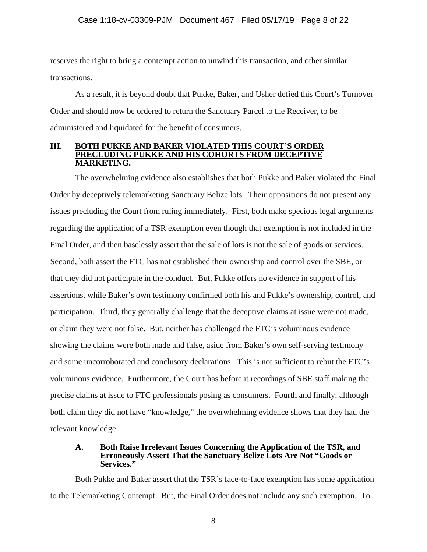reserves the right to bring a contempt action to unwind this transaction, and other similar transactions.

 As a result, it is beyond doubt that Pukke, Baker, and Usher defied this Court's Turnover Order and should now be ordered to return the Sanctuary Parcel to the Receiver, to be administered and liquidated for the benefit of consumers.

### **III. BOTH PUKKE AND BAKER VIOLATED THIS COURT'S ORDER PRECLUDING PUKKE AND HIS COHORTS FROM DECEPTIVE MARKETING.**

 The overwhelming evidence also establishes that both Pukke and Baker violated the Final Order by deceptively telemarketing Sanctuary Belize lots. Their oppositions do not present any issues precluding the Court from ruling immediately. First, both make specious legal arguments regarding the application of a TSR exemption even though that exemption is not included in the Final Order, and then baselessly assert that the sale of lots is not the sale of goods or services. Second, both assert the FTC has not established their ownership and control over the SBE, or that they did not participate in the conduct. But, Pukke offers no evidence in support of his assertions, while Baker's own testimony confirmed both his and Pukke's ownership, control, and participation. Third, they generally challenge that the deceptive claims at issue were not made, or claim they were not false. But, neither has challenged the FTC's voluminous evidence showing the claims were both made and false, aside from Baker's own self-serving testimony and some uncorroborated and conclusory declarations. This is not sufficient to rebut the FTC's voluminous evidence. Furthermore, the Court has before it recordings of SBE staff making the precise claims at issue to FTC professionals posing as consumers. Fourth and finally, although both claim they did not have "knowledge," the overwhelming evidence shows that they had the relevant knowledge.

### **A. Both Raise Irrelevant Issues Concerning the Application of the TSR, and Erroneously Assert That the Sanctuary Belize Lots Are Not "Goods or Services."**

 Both Pukke and Baker assert that the TSR's face-to-face exemption has some application to the Telemarketing Contempt. But, the Final Order does not include any such exemption. To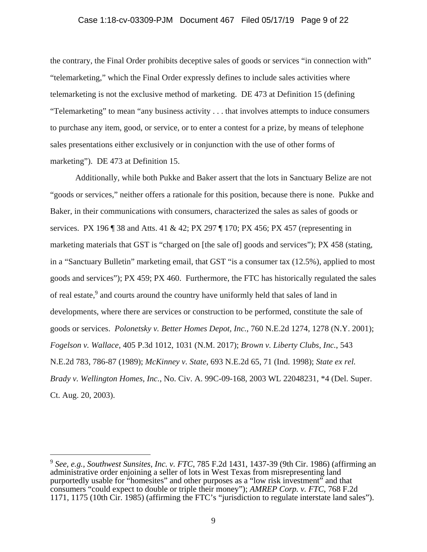# Case 1:18-cv-03309-PJM Document 467 Filed 05/17/19 Page 9 of 22

the contrary, the Final Order prohibits deceptive sales of goods or services "in connection with" "telemarketing," which the Final Order expressly defines to include sales activities where telemarketing is not the exclusive method of marketing. DE 473 at Definition 15 (defining "Telemarketing" to mean "any business activity . . . that involves attempts to induce consumers to purchase any item, good, or service, or to enter a contest for a prize, by means of telephone sales presentations either exclusively or in conjunction with the use of other forms of marketing"). DE 473 at Definition 15.

 Additionally, while both Pukke and Baker assert that the lots in Sanctuary Belize are not "goods or services," neither offers a rationale for this position, because there is none. Pukke and Baker, in their communications with consumers, characterized the sales as sales of goods or services. PX 196 ¶ 38 and Atts. 41 & 42; PX 297 ¶ 170; PX 456; PX 457 (representing in marketing materials that GST is "charged on [the sale of] goods and services"); PX 458 (stating, in a "Sanctuary Bulletin" marketing email, that GST "is a consumer tax (12.5%), applied to most goods and services"); PX 459; PX 460. Furthermore, the FTC has historically regulated the sales of real estate,<sup>9</sup> and courts around the country have uniformly held that sales of land in developments, where there are services or construction to be performed, constitute the sale of goods or services. *Polonetsky v. Better Homes Depot, Inc.*, 760 N.E.2d 1274, 1278 (N.Y. 2001); *Fogelson v. Wallace*, 405 P.3d 1012, 1031 (N.M. 2017); *Brown v. Liberty Clubs, Inc.*, 543 N.E.2d 783, 786-87 (1989); *McKinney v. State*, 693 N.E.2d 65, 71 (Ind. 1998); *State ex rel. Brady v. Wellington Homes, Inc.*, No. Civ. A. 99C-09-168, 2003 WL 22048231, \*4 (Del. Super. Ct. Aug. 20, 2003).

<sup>9</sup> *See, e.g., Southwest Sunsites, Inc. v. FTC*, 785 F.2d 1431, 1437-39 (9th Cir. 1986) (affirming an administrative order enjoining a seller of lots in West Texas from misrepresenting land purportedly usable for "homesites" and other purposes as a "low risk investment" and that consumers "could expect to double or triple their money"); *AMREP Corp. v. FTC*, 768 F.2d 1171, 1175 (10th Cir. 1985) (affirming the FTC's "jurisdiction to regulate interstate land sales").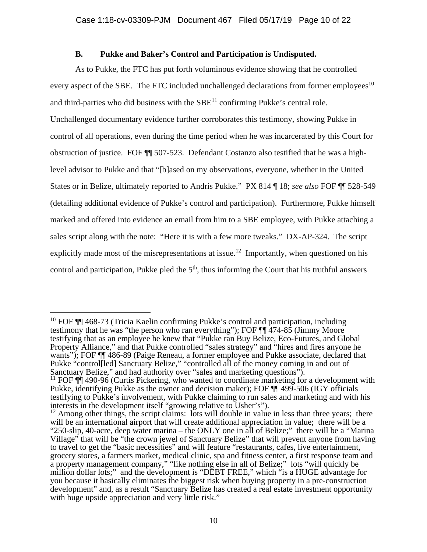# **B. Pukke and Baker's Control and Participation is Undisputed.**

 As to Pukke, the FTC has put forth voluminous evidence showing that he controlled every aspect of the SBE. The FTC included unchallenged declarations from former employees<sup>10</sup> and third-parties who did business with the  $SBE<sup>11</sup>$  confirming Pukke's central role. Unchallenged documentary evidence further corroborates this testimony, showing Pukke in control of all operations, even during the time period when he was incarcerated by this Court for obstruction of justice. FOF ¶¶ 507-523. Defendant Costanzo also testified that he was a highlevel advisor to Pukke and that "[b]ased on my observations, everyone, whether in the United States or in Belize, ultimately reported to Andris Pukke." PX 814 ¶ 18; *see also* FOF ¶¶ 528-549 (detailing additional evidence of Pukke's control and participation). Furthermore, Pukke himself marked and offered into evidence an email from him to a SBE employee, with Pukke attaching a sales script along with the note: "Here it is with a few more tweaks." DX-AP-324. The script explicitly made most of the misrepresentations at issue.<sup>12</sup> Importantly, when questioned on his control and participation, Pukke pled the  $5<sup>th</sup>$ , thus informing the Court that his truthful answers

<sup>&</sup>lt;sup>10</sup> FOF  $\P$  468-73 (Tricia Kaelin confirming Pukke's control and participation, including testimony that he was "the person who ran everything"); FOF ¶¶ 474-85 (Jimmy Moore testifying that as an employee he knew that "Pukke ran Buy Belize, Eco-Futures, and Global Property Alliance," and that Pukke controlled "sales strategy" and "hires and fires anyone he wants"); FOF ¶¶ 486-89 (Paige Reneau, a former employee and Pukke associate, declared that Pukke "control[led] Sanctuary Belize," "controlled all of the money coming in and out of Sanctuary Belize," and had authority over "sales and marketing questions").<br><sup>11</sup> FOF ¶¶ 490-96 (Curtis Pickering, who wanted to coordinate marketing for a development with

Pukke, identifying Pukke as the owner and decision maker); FOF ¶¶ 499-506 (IGY officials testifying to Pukke's involvement, with Pukke claiming to run sales and marketing and with his interests in the development itself "growing relative to Usher's").

 $12$  Among other things, the script claims: lots will double in value in less than three years; there will be an international airport that will create additional appreciation in value; there will be a "250-slip, 40-acre, deep water marina – the ONLY one in all of Belize;" there will be a "Marina Village" that will be "the crown jewel of Sanctuary Belize" that will prevent anyone from having to travel to get the "basic necessities" and will feature "restaurants, cafes, live entertainment, grocery stores, a farmers market, medical clinic, spa and fitness center, a first response team and a property management company," "like nothing else in all of Belize;" lots "will quickly be million dollar lots;" and the development is "DEBT FREE," which "is a HUGE advantage for you because it basically eliminates the biggest risk when buying property in a pre-construction development" and, as a result "Sanctuary Belize has created a real estate investment opportunity with huge upside appreciation and very little risk."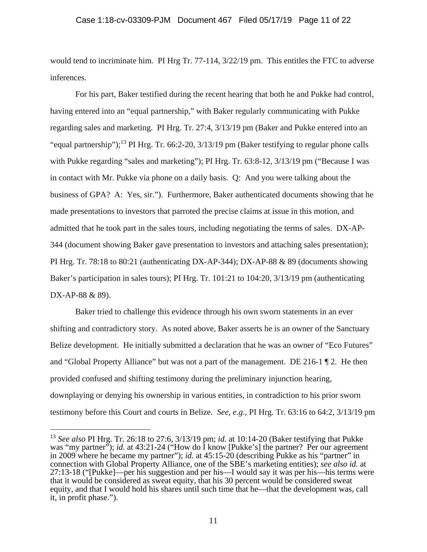would tend to incriminate him. PI Hrg Tr. 77-114,  $3/22/19$  pm. This entitles the FTC to adverse inferences.

 For his part, Baker testified during the recent hearing that both he and Pukke had control, having entered into an "equal partnership," with Baker regularly communicating with Pukke regarding sales and marketing. PI Hrg. Tr. 27:4, 3/13/19 pm (Baker and Pukke entered into an "equal partnership");<sup>13</sup> PI Hrg. Tr. 66:2-20,  $3/13/19$  pm (Baker testifying to regular phone calls with Pukke regarding "sales and marketing"); PI Hrg. Tr. 63:8-12, 3/13/19 pm ("Because I was in contact with Mr. Pukke via phone on a daily basis. Q: And you were talking about the business of GPA? A: Yes, sir."). Furthermore, Baker authenticated documents showing that he made presentations to investors that parroted the precise claims at issue in this motion, and admitted that he took part in the sales tours, including negotiating the terms of sales. DX-AP-344 (document showing Baker gave presentation to investors and attaching sales presentation); PI Hrg. Tr. 78:18 to 80:21 (authenticating DX-AP-344); DX-AP-88 & 89 (documents showing Baker's participation in sales tours); PI Hrg. Tr. 101:21 to 104:20, 3/13/19 pm (authenticating DX-AP-88 & 89).

 Baker tried to challenge this evidence through his own sworn statements in an ever shifting and contradictory story. As noted above, Baker asserts he is an owner of the Sanctuary Belize development. He initially submitted a declaration that he was an owner of "Eco Futures" and "Global Property Alliance" but was not a part of the management. DE 216-1 ¶ 2. He then provided confused and shifting testimony during the preliminary injunction hearing, downplaying or denying his ownership in various entities, in contradiction to his prior sworn testimony before this Court and courts in Belize. *See, e.g.,* PI Hrg. Tr. 63:16 to 64:2, 3/13/19 pm

<sup>13</sup> *See also* PI Hrg. Tr. 26:18 to 27:6, 3/13/19 pm; *id.* at 10:14-20 (Baker testifying that Pukke was "my partner"); *id.* at 43:21-24 ("How do I know [Pukke's] the partner? Per our agreement in 2009 where he became my partner"); *id.* at 45:15-20 (describing Pukke as his "partner" in connection with Global Property Alliance, one of the SBE's marketing entities); *see also id.* at 27:13-18 ("[Pukke]—per his suggestion and per his—I would say it was per his—his terms were that it would be considered as sweat equity, that his 30 percent would be considered sweat equity, and that I would hold his shares until such time that he—that the development was, call it, in profit phase.").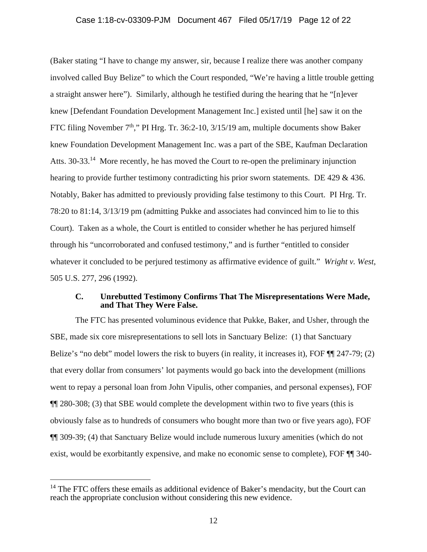(Baker stating "I have to change my answer, sir, because I realize there was another company involved called Buy Belize" to which the Court responded, "We're having a little trouble getting a straight answer here"). Similarly, although he testified during the hearing that he "[n]ever knew [Defendant Foundation Development Management Inc.] existed until [he] saw it on the FTC filing November  $7<sup>th</sup>$ ," PI Hrg. Tr. 36:2-10, 3/15/19 am, multiple documents show Baker knew Foundation Development Management Inc. was a part of the SBE, Kaufman Declaration Atts. 30-33.<sup>14</sup> More recently, he has moved the Court to re-open the preliminary injunction hearing to provide further testimony contradicting his prior sworn statements. DE 429 & 436. Notably, Baker has admitted to previously providing false testimony to this Court. PI Hrg. Tr. 78:20 to 81:14, 3/13/19 pm (admitting Pukke and associates had convinced him to lie to this Court). Taken as a whole, the Court is entitled to consider whether he has perjured himself through his "uncorroborated and confused testimony," and is further "entitled to consider whatever it concluded to be perjured testimony as affirmative evidence of guilt." *Wright v. West*, 505 U.S. 277, 296 (1992).

## **C. Unrebutted Testimony Confirms That The Misrepresentations Were Made, and That They Were False.**

 The FTC has presented voluminous evidence that Pukke, Baker, and Usher, through the SBE, made six core misrepresentations to sell lots in Sanctuary Belize: (1) that Sanctuary Belize's "no debt" model lowers the risk to buyers (in reality, it increases it), FOF ¶¶ 247-79; (2) that every dollar from consumers' lot payments would go back into the development (millions went to repay a personal loan from John Vipulis, other companies, and personal expenses), FOF ¶¶ 280-308; (3) that SBE would complete the development within two to five years (this is obviously false as to hundreds of consumers who bought more than two or five years ago), FOF ¶¶ 309-39; (4) that Sanctuary Belize would include numerous luxury amenities (which do not exist, would be exorbitantly expensive, and make no economic sense to complete), FOF ¶¶ 340-

-

 $14$  The FTC offers these emails as additional evidence of Baker's mendacity, but the Court can reach the appropriate conclusion without considering this new evidence.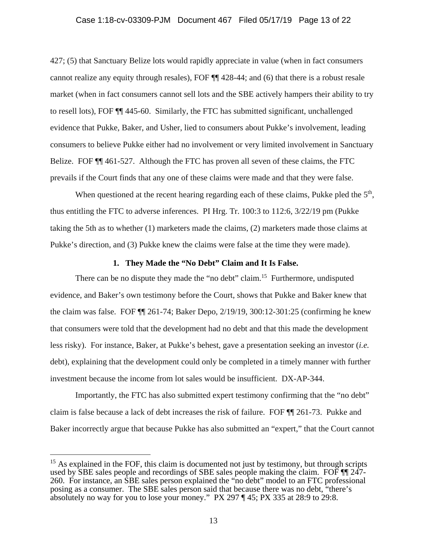### Case 1:18-cv-03309-PJM Document 467 Filed 05/17/19 Page 13 of 22

427; (5) that Sanctuary Belize lots would rapidly appreciate in value (when in fact consumers cannot realize any equity through resales), FOF ¶¶ 428-44; and (6) that there is a robust resale market (when in fact consumers cannot sell lots and the SBE actively hampers their ability to try to resell lots), FOF ¶¶ 445-60. Similarly, the FTC has submitted significant, unchallenged evidence that Pukke, Baker, and Usher, lied to consumers about Pukke's involvement, leading consumers to believe Pukke either had no involvement or very limited involvement in Sanctuary Belize. FOF  $\P$  461-527. Although the FTC has proven all seven of these claims, the FTC prevails if the Court finds that any one of these claims were made and that they were false.

When questioned at the recent hearing regarding each of these claims, Pukke pled the  $5<sup>th</sup>$ , thus entitling the FTC to adverse inferences. PI Hrg. Tr. 100:3 to 112:6, 3/22/19 pm (Pukke taking the 5th as to whether (1) marketers made the claims, (2) marketers made those claims at Pukke's direction, and (3) Pukke knew the claims were false at the time they were made).

#### **1. They Made the "No Debt" Claim and It Is False.**

There can be no dispute they made the "no debt" claim.<sup>15</sup> Furthermore, undisputed evidence, and Baker's own testimony before the Court, shows that Pukke and Baker knew that the claim was false. FOF ¶¶ 261-74; Baker Depo, 2/19/19, 300:12-301:25 (confirming he knew that consumers were told that the development had no debt and that this made the development less risky). For instance, Baker, at Pukke's behest, gave a presentation seeking an investor (*i.e.* debt), explaining that the development could only be completed in a timely manner with further investment because the income from lot sales would be insufficient. DX-AP-344.

 Importantly, the FTC has also submitted expert testimony confirming that the "no debt" claim is false because a lack of debt increases the risk of failure. FOF ¶¶ 261-73. Pukke and Baker incorrectly argue that because Pukke has also submitted an "expert," that the Court cannot

 $15$  As explained in the FOF, this claim is documented not just by testimony, but through scripts used by SBE sales people and recordings of SBE sales people making the claim. FOF ¶¶ 247- 260. For instance, an SBE sales person explained the "no debt" model to an FTC professional posing as a consumer. The SBE sales person said that because there was no debt, "there's absolutely no way for you to lose your money." PX 297 ¶ 45; PX 335 at 28:9 to 29:8.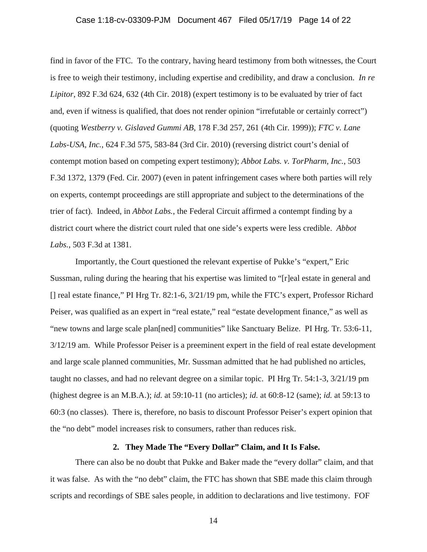## Case 1:18-cv-03309-PJM Document 467 Filed 05/17/19 Page 14 of 22

find in favor of the FTC. To the contrary, having heard testimony from both witnesses, the Court is free to weigh their testimony, including expertise and credibility, and draw a conclusion. *In re Lipitor*, 892 F.3d 624, 632 (4th Cir. 2018) (expert testimony is to be evaluated by trier of fact and, even if witness is qualified, that does not render opinion "irrefutable or certainly correct") (quoting *Westberry v. Gislaved Gummi AB*, 178 F.3d 257, 261 (4th Cir. 1999)); *FTC v. Lane Labs-USA, Inc.*, 624 F.3d 575, 583-84 (3rd Cir. 2010) (reversing district court's denial of contempt motion based on competing expert testimony); *Abbot Labs. v. TorPharm, Inc.*, 503 F.3d 1372, 1379 (Fed. Cir. 2007) (even in patent infringement cases where both parties will rely on experts, contempt proceedings are still appropriate and subject to the determinations of the trier of fact). Indeed, in *Abbot Labs.*, the Federal Circuit affirmed a contempt finding by a district court where the district court ruled that one side's experts were less credible. *Abbot Labs.*, 503 F.3d at 1381.

 Importantly, the Court questioned the relevant expertise of Pukke's "expert," Eric Sussman, ruling during the hearing that his expertise was limited to "[r]eal estate in general and [] real estate finance," PI Hrg Tr. 82:1-6, 3/21/19 pm, while the FTC's expert, Professor Richard Peiser, was qualified as an expert in "real estate," real "estate development finance," as well as "new towns and large scale plan[ned] communities" like Sanctuary Belize. PI Hrg. Tr. 53:6-11, 3/12/19 am. While Professor Peiser is a preeminent expert in the field of real estate development and large scale planned communities, Mr. Sussman admitted that he had published no articles, taught no classes, and had no relevant degree on a similar topic. PI Hrg Tr. 54:1-3, 3/21/19 pm (highest degree is an M.B.A.); *id.* at 59:10-11 (no articles); *id.* at 60:8-12 (same); *id.* at 59:13 to 60:3 (no classes). There is, therefore, no basis to discount Professor Peiser's expert opinion that the "no debt" model increases risk to consumers, rather than reduces risk.

### **2. They Made The "Every Dollar" Claim, and It Is False.**

 There can also be no doubt that Pukke and Baker made the "every dollar" claim, and that it was false. As with the "no debt" claim, the FTC has shown that SBE made this claim through scripts and recordings of SBE sales people, in addition to declarations and live testimony. FOF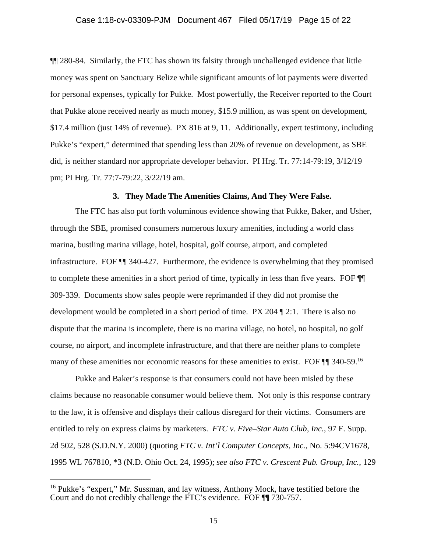¶¶ 280-84. Similarly, the FTC has shown its falsity through unchallenged evidence that little money was spent on Sanctuary Belize while significant amounts of lot payments were diverted for personal expenses, typically for Pukke. Most powerfully, the Receiver reported to the Court that Pukke alone received nearly as much money, \$15.9 million, as was spent on development, \$17.4 million (just 14% of revenue). PX 816 at 9, 11. Additionally, expert testimony, including Pukke's "expert," determined that spending less than 20% of revenue on development, as SBE did, is neither standard nor appropriate developer behavior. PI Hrg. Tr. 77:14-79:19, 3/12/19 pm; PI Hrg. Tr. 77:7-79:22, 3/22/19 am.

# **3. They Made The Amenities Claims, And They Were False.**

 The FTC has also put forth voluminous evidence showing that Pukke, Baker, and Usher, through the SBE, promised consumers numerous luxury amenities, including a world class marina, bustling marina village, hotel, hospital, golf course, airport, and completed infrastructure. FOF ¶¶ 340-427. Furthermore, the evidence is overwhelming that they promised to complete these amenities in a short period of time, typically in less than five years. FOF ¶¶ 309-339. Documents show sales people were reprimanded if they did not promise the development would be completed in a short period of time. PX 204 ¶ 2:1. There is also no dispute that the marina is incomplete, there is no marina village, no hotel, no hospital, no golf course, no airport, and incomplete infrastructure, and that there are neither plans to complete many of these amenities nor economic reasons for these amenities to exist. FOF  $\P$  340-59.<sup>16</sup>

 Pukke and Baker's response is that consumers could not have been misled by these claims because no reasonable consumer would believe them. Not only is this response contrary to the law, it is offensive and displays their callous disregard for their victims. Consumers are entitled to rely on express claims by marketers. *FTC v. Five–Star Auto Club, Inc.*, 97 F. Supp. 2d 502, 528 (S.D.N.Y. 2000) (quoting *FTC v. Int'l Computer Concepts, Inc.*, No. 5:94CV1678, 1995 WL 767810, \*3 (N.D. Ohio Oct. 24, 1995); *see also FTC v. Crescent Pub. Group, Inc.*, 129

-

<sup>&</sup>lt;sup>16</sup> Pukke's "expert," Mr. Sussman, and lay witness, Anthony Mock, have testified before the Court and do not credibly challenge the FTC's evidence. FOF ¶¶ 730-757.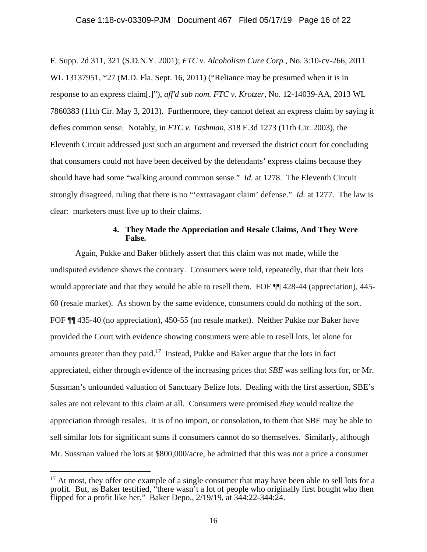F. Supp. 2d 311, 321 (S.D.N.Y. 2001); *FTC v. Alcoholism Cure Corp.*, No. 3:10-cv-266, 2011 WL 13137951, \*27 (M.D. Fla. Sept. 16, 2011) ("Reliance may be presumed when it is in response to an express claim[.]"), *aff'd sub nom. FTC v. Krotzer*, No. 12-14039-AA, 2013 WL 7860383 (11th Cir. May 3, 2013). Furthermore, they cannot defeat an express claim by saying it defies common sense. Notably, in *FTC v. Tashman*, 318 F.3d 1273 (11th Cir. 2003), the Eleventh Circuit addressed just such an argument and reversed the district court for concluding that consumers could not have been deceived by the defendants' express claims because they should have had some "walking around common sense." *Id.* at 1278. The Eleventh Circuit strongly disagreed, ruling that there is no "'extravagant claim' defense." *Id.* at 1277. The law is clear: marketers must live up to their claims.

## **4. They Made the Appreciation and Resale Claims, And They Were False.**

 Again, Pukke and Baker blithely assert that this claim was not made, while the undisputed evidence shows the contrary. Consumers were told, repeatedly, that that their lots would appreciate and that they would be able to resell them. FOF  $\P$  428-44 (appreciation), 445-60 (resale market). As shown by the same evidence, consumers could do nothing of the sort. FOF ¶¶ 435-40 (no appreciation), 450-55 (no resale market). Neither Pukke nor Baker have provided the Court with evidence showing consumers were able to resell lots, let alone for amounts greater than they paid.<sup>17</sup> Instead, Pukke and Baker argue that the lots in fact appreciated, either through evidence of the increasing prices that *SBE* was selling lots for, or Mr. Sussman's unfounded valuation of Sanctuary Belize lots. Dealing with the first assertion, SBE's sales are not relevant to this claim at all. Consumers were promised *they* would realize the appreciation through resales. It is of no import, or consolation, to them that SBE may be able to sell similar lots for significant sums if consumers cannot do so themselves. Similarly, although Mr. Sussman valued the lots at \$800,000/acre, he admitted that this was not a price a consumer

 $17$  At most, they offer one example of a single consumer that may have been able to sell lots for a profit. But, as Baker testified, "there wasn't a lot of people who originally first bought who then flipped for a profit like her." Baker Depo., 2/19/19, at 344:22-344:24.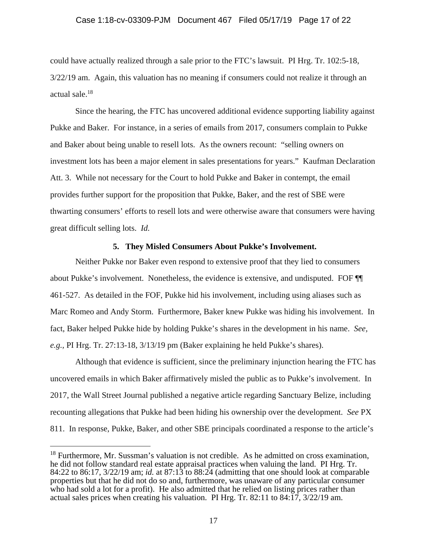could have actually realized through a sale prior to the FTC's lawsuit. PI Hrg. Tr. 102:5-18, 3/22/19 am. Again, this valuation has no meaning if consumers could not realize it through an actual sale.18

 Since the hearing, the FTC has uncovered additional evidence supporting liability against Pukke and Baker. For instance, in a series of emails from 2017, consumers complain to Pukke and Baker about being unable to resell lots. As the owners recount: "selling owners on investment lots has been a major element in sales presentations for years." Kaufman Declaration Att. 3. While not necessary for the Court to hold Pukke and Baker in contempt, the email provides further support for the proposition that Pukke, Baker, and the rest of SBE were thwarting consumers' efforts to resell lots and were otherwise aware that consumers were having great difficult selling lots. *Id.*

### **5. They Misled Consumers About Pukke's Involvement.**

 Neither Pukke nor Baker even respond to extensive proof that they lied to consumers about Pukke's involvement. Nonetheless, the evidence is extensive, and undisputed. FOF ¶¶ 461-527. As detailed in the FOF, Pukke hid his involvement, including using aliases such as Marc Romeo and Andy Storm. Furthermore, Baker knew Pukke was hiding his involvement. In fact, Baker helped Pukke hide by holding Pukke's shares in the development in his name. *See, e.g.,* PI Hrg. Tr. 27:13-18, 3/13/19 pm (Baker explaining he held Pukke's shares).

 Although that evidence is sufficient, since the preliminary injunction hearing the FTC has uncovered emails in which Baker affirmatively misled the public as to Pukke's involvement. In 2017, the Wall Street Journal published a negative article regarding Sanctuary Belize, including recounting allegations that Pukke had been hiding his ownership over the development. *See* PX 811. In response, Pukke, Baker, and other SBE principals coordinated a response to the article's

 $18$  Furthermore, Mr. Sussman's valuation is not credible. As he admitted on cross examination, he did not follow standard real estate appraisal practices when valuing the land. PI Hrg. Tr. 84:22 to 86:17, 3/22/19 am; *id.* at 87:13 to 88:24 (admitting that one should look at comparable properties but that he did not do so and, furthermore, was unaware of any particular consumer who had sold a lot for a profit). He also admitted that he relied on listing prices rather than actual sales prices when creating his valuation. PI Hrg. Tr. 82:11 to 84: $17$ ,  $3/22/19$  am.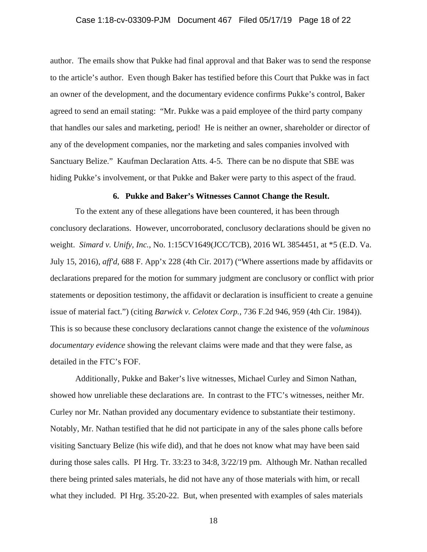author. The emails show that Pukke had final approval and that Baker was to send the response to the article's author. Even though Baker has testified before this Court that Pukke was in fact an owner of the development, and the documentary evidence confirms Pukke's control, Baker agreed to send an email stating: "Mr. Pukke was a paid employee of the third party company that handles our sales and marketing, period! He is neither an owner, shareholder or director of any of the development companies, nor the marketing and sales companies involved with Sanctuary Belize." Kaufman Declaration Atts. 4-5. There can be no dispute that SBE was hiding Pukke's involvement, or that Pukke and Baker were party to this aspect of the fraud.

## **6. Pukke and Baker's Witnesses Cannot Change the Result.**

 To the extent any of these allegations have been countered, it has been through conclusory declarations. However, uncorroborated, conclusory declarations should be given no weight. *Simard v. Unify, Inc.*, No. 1:15CV1649(JCC/TCB), 2016 WL 3854451, at \*5 (E.D. Va. July 15, 2016), *aff'd*, 688 F. App'x 228 (4th Cir. 2017) ("Where assertions made by affidavits or declarations prepared for the motion for summary judgment are conclusory or conflict with prior statements or deposition testimony, the affidavit or declaration is insufficient to create a genuine issue of material fact.") (citing *Barwick v. Celotex Corp.*, 736 F.2d 946, 959 (4th Cir. 1984)). This is so because these conclusory declarations cannot change the existence of the *voluminous documentary evidence* showing the relevant claims were made and that they were false, as detailed in the FTC's FOF.

 Additionally, Pukke and Baker's live witnesses, Michael Curley and Simon Nathan, showed how unreliable these declarations are. In contrast to the FTC's witnesses, neither Mr. Curley nor Mr. Nathan provided any documentary evidence to substantiate their testimony. Notably, Mr. Nathan testified that he did not participate in any of the sales phone calls before visiting Sanctuary Belize (his wife did), and that he does not know what may have been said during those sales calls. PI Hrg. Tr. 33:23 to 34:8, 3/22/19 pm. Although Mr. Nathan recalled there being printed sales materials, he did not have any of those materials with him, or recall what they included. PI Hrg. 35:20-22. But, when presented with examples of sales materials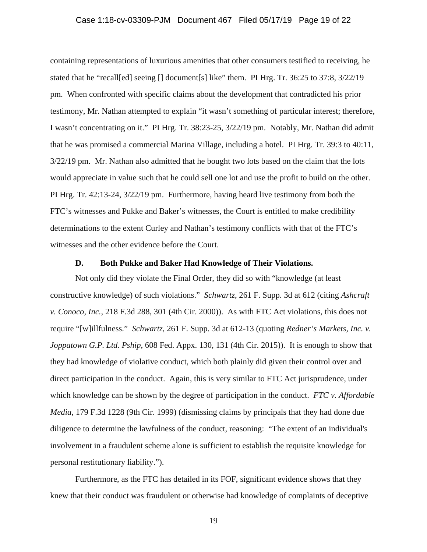containing representations of luxurious amenities that other consumers testified to receiving, he stated that he "recall[ed] seeing [] document[s] like" them. PI Hrg. Tr. 36:25 to 37:8, 3/22/19 pm. When confronted with specific claims about the development that contradicted his prior testimony, Mr. Nathan attempted to explain "it wasn't something of particular interest; therefore, I wasn't concentrating on it." PI Hrg. Tr. 38:23-25, 3/22/19 pm. Notably, Mr. Nathan did admit that he was promised a commercial Marina Village, including a hotel. PI Hrg. Tr. 39:3 to 40:11, 3/22/19 pm. Mr. Nathan also admitted that he bought two lots based on the claim that the lots would appreciate in value such that he could sell one lot and use the profit to build on the other. PI Hrg. Tr. 42:13-24, 3/22/19 pm. Furthermore, having heard live testimony from both the FTC's witnesses and Pukke and Baker's witnesses, the Court is entitled to make credibility determinations to the extent Curley and Nathan's testimony conflicts with that of the FTC's witnesses and the other evidence before the Court.

### **D. Both Pukke and Baker Had Knowledge of Their Violations.**

 Not only did they violate the Final Order, they did so with "knowledge (at least constructive knowledge) of such violations." *Schwartz*, 261 F. Supp. 3d at 612 (citing *Ashcraft v. Conoco, Inc.*, 218 F.3d 288, 301 (4th Cir. 2000)). As with FTC Act violations, this does not require "[w]illfulness." *Schwartz*, 261 F. Supp. 3d at 612-13 (quoting *Redner's Markets, Inc. v. Joppatown G.P. Ltd. Pship*, 608 Fed. Appx. 130, 131 (4th Cir. 2015)). It is enough to show that they had knowledge of violative conduct, which both plainly did given their control over and direct participation in the conduct. Again, this is very similar to FTC Act jurisprudence, under which knowledge can be shown by the degree of participation in the conduct. *FTC v. Affordable Media*, 179 F.3d 1228 (9th Cir. 1999) (dismissing claims by principals that they had done due diligence to determine the lawfulness of the conduct, reasoning: "The extent of an individual's involvement in a fraudulent scheme alone is sufficient to establish the requisite knowledge for personal restitutionary liability.").

 Furthermore, as the FTC has detailed in its FOF, significant evidence shows that they knew that their conduct was fraudulent or otherwise had knowledge of complaints of deceptive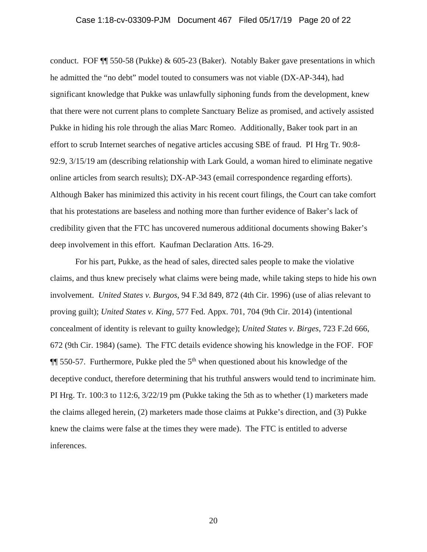## Case 1:18-cv-03309-PJM Document 467 Filed 05/17/19 Page 20 of 22

conduct. FOF ¶¶ 550-58 (Pukke) & 605-23 (Baker). Notably Baker gave presentations in which he admitted the "no debt" model touted to consumers was not viable (DX-AP-344), had significant knowledge that Pukke was unlawfully siphoning funds from the development, knew that there were not current plans to complete Sanctuary Belize as promised, and actively assisted Pukke in hiding his role through the alias Marc Romeo. Additionally, Baker took part in an effort to scrub Internet searches of negative articles accusing SBE of fraud. PI Hrg Tr. 90:8- 92:9, 3/15/19 am (describing relationship with Lark Gould, a woman hired to eliminate negative online articles from search results); DX-AP-343 (email correspondence regarding efforts). Although Baker has minimized this activity in his recent court filings, the Court can take comfort that his protestations are baseless and nothing more than further evidence of Baker's lack of credibility given that the FTC has uncovered numerous additional documents showing Baker's deep involvement in this effort. Kaufman Declaration Atts. 16-29.

 For his part, Pukke, as the head of sales, directed sales people to make the violative claims, and thus knew precisely what claims were being made, while taking steps to hide his own involvement. *United States v. Burgos*, 94 F.3d 849, 872 (4th Cir. 1996) (use of alias relevant to proving guilt); *United States v. King*, 577 Fed. Appx. 701, 704 (9th Cir. 2014) (intentional concealment of identity is relevant to guilty knowledge); *United States v. Birges*, 723 F.2d 666, 672 (9th Cir. 1984) (same). The FTC details evidence showing his knowledge in the FOF. FOF  $\P$  550-57. Furthermore, Pukke pled the 5<sup>th</sup> when questioned about his knowledge of the deceptive conduct, therefore determining that his truthful answers would tend to incriminate him. PI Hrg. Tr. 100:3 to 112:6, 3/22/19 pm (Pukke taking the 5th as to whether (1) marketers made the claims alleged herein, (2) marketers made those claims at Pukke's direction, and (3) Pukke knew the claims were false at the times they were made). The FTC is entitled to adverse inferences.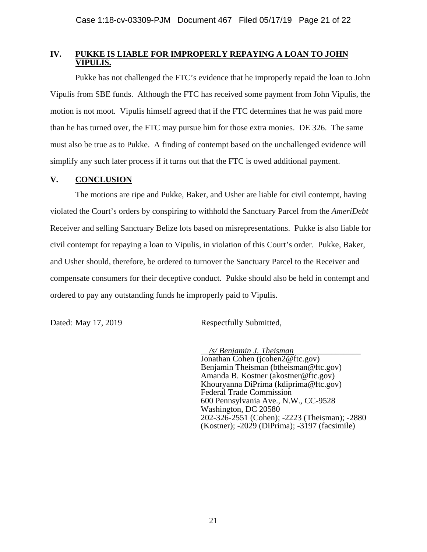# **IV. PUKKE IS LIABLE FOR IMPROPERLY REPAYING A LOAN TO JOHN VIPULIS.**

 Pukke has not challenged the FTC's evidence that he improperly repaid the loan to John Vipulis from SBE funds. Although the FTC has received some payment from John Vipulis, the motion is not moot. Vipulis himself agreed that if the FTC determines that he was paid more than he has turned over, the FTC may pursue him for those extra monies. DE 326. The same must also be true as to Pukke. A finding of contempt based on the unchallenged evidence will simplify any such later process if it turns out that the FTC is owed additional payment.

# **V. CONCLUSION**

The motions are ripe and Pukke, Baker, and Usher are liable for civil contempt, having violated the Court's orders by conspiring to withhold the Sanctuary Parcel from the *AmeriDebt*  Receiver and selling Sanctuary Belize lots based on misrepresentations. Pukke is also liable for civil contempt for repaying a loan to Vipulis, in violation of this Court's order. Pukke, Baker, and Usher should, therefore, be ordered to turnover the Sanctuary Parcel to the Receiver and compensate consumers for their deceptive conduct. Pukke should also be held in contempt and ordered to pay any outstanding funds he improperly paid to Vipulis.

Dated: May 17, 2019 Respectfully Submitted,

\_\_*/s/ Benjamin J. Theisman*\_\_\_\_\_\_\_\_\_\_\_\_\_\_\_\_

Jonathan Cohen (jcohen2@ftc.gov) Benjamin Theisman (btheisman@ftc.gov) Amanda B. Kostner (akostner@ftc.gov) Khouryanna DiPrima (kdiprima@ftc.gov) Federal Trade Commission 600 Pennsylvania Ave., N.W., CC-9528 Washington, DC 20580 202-326-2551 (Cohen); -2223 (Theisman); -2880 (Kostner); -2029 (DiPrima); -3197 (facsimile)